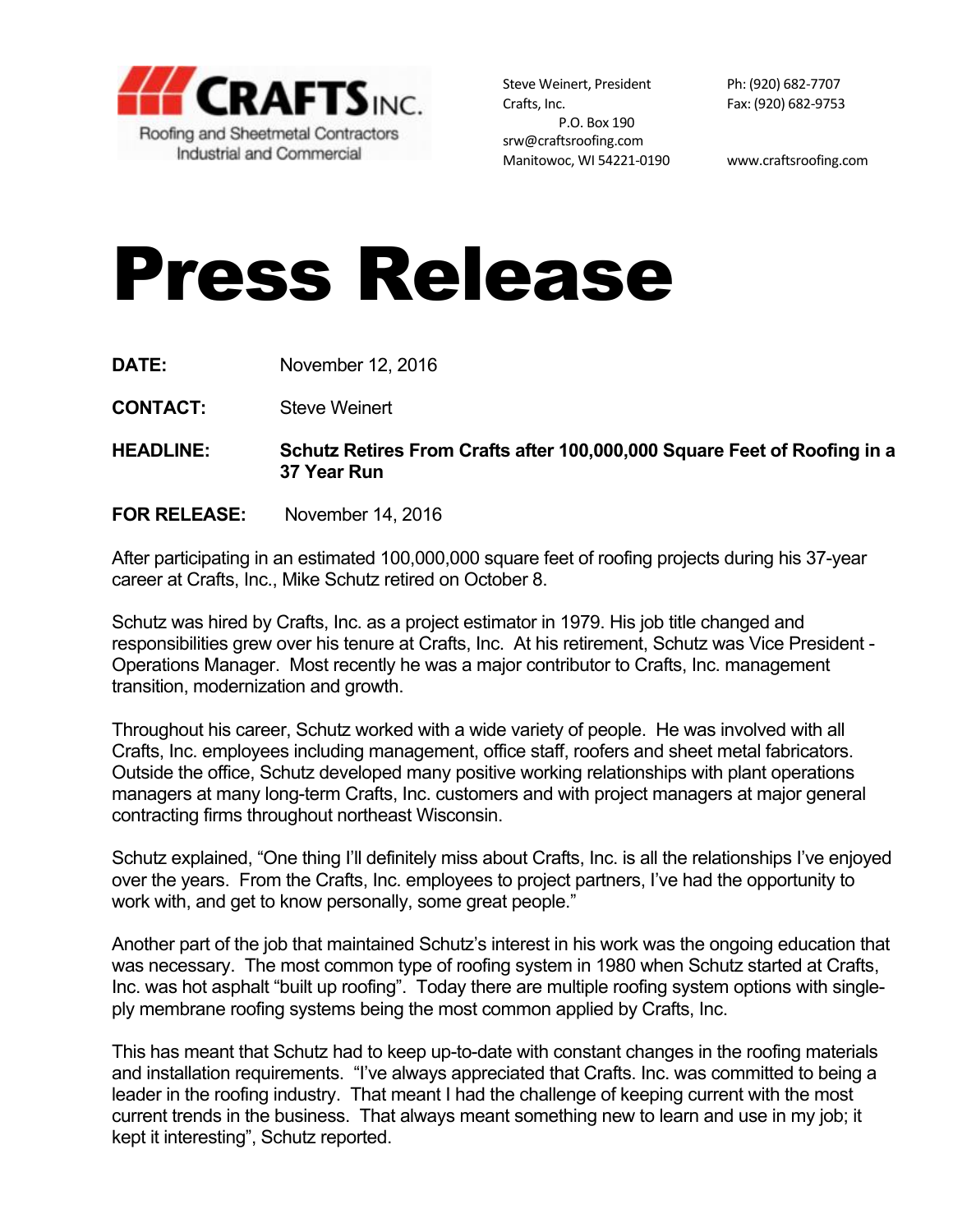

Steve Weinert, President Ph: (920) 682-7707 Crafts, Inc. 682-9753 P.O. Box 190 srw@craftsroofing.com Manitowoc, WI 54221-0190 www.craftsroofing.com

## Press Release

- **DATE:** November 12, 2016
- **CONTACT:** Steve Weinert

**HEADLINE: Schutz Retires From Crafts after 100,000,000 Square Feet of Roofing in a 37 Year Run**

**FOR RELEASE:** November 14, 2016

After participating in an estimated 100,000,000 square feet of roofing projects during his 37-year career at Crafts, Inc., Mike Schutz retired on October 8.

Schutz was hired by Crafts, Inc. as a project estimator in 1979. His job title changed and responsibilities grew over his tenure at Crafts, Inc. At his retirement, Schutz was Vice President - Operations Manager. Most recently he was a major contributor to Crafts, Inc. management transition, modernization and growth.

Throughout his career, Schutz worked with a wide variety of people. He was involved with all Crafts, Inc. employees including management, office staff, roofers and sheet metal fabricators. Outside the office, Schutz developed many positive working relationships with plant operations managers at many long-term Crafts, Inc. customers and with project managers at major general contracting firms throughout northeast Wisconsin.

Schutz explained, "One thing I'll definitely miss about Crafts, Inc. is all the relationships I've enjoyed over the years. From the Crafts, Inc. employees to project partners, I've had the opportunity to work with, and get to know personally, some great people."

Another part of the job that maintained Schutz's interest in his work was the ongoing education that was necessary. The most common type of roofing system in 1980 when Schutz started at Crafts, Inc. was hot asphalt "built up roofing". Today there are multiple roofing system options with singleply membrane roofing systems being the most common applied by Crafts, Inc.

This has meant that Schutz had to keep up-to-date with constant changes in the roofing materials and installation requirements. "I've always appreciated that Crafts. Inc. was committed to being a leader in the roofing industry. That meant I had the challenge of keeping current with the most current trends in the business. That always meant something new to learn and use in my job; it kept it interesting", Schutz reported.